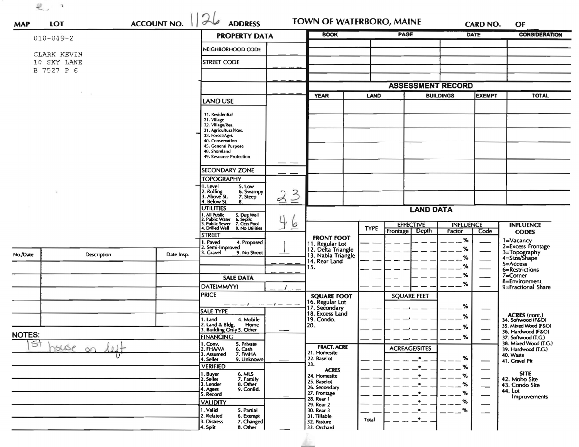$\mathcal{Q}_{\omega,\omega}$  .

| <b>MAP</b>                       | <b>LOT</b>         | <b>ACCOUNT NO.</b> | 26<br><b>ADDRESS</b>                                                                                                                                                                   | TOWN OF WATERBORO, MAINE  |                                                             |             | <b>CARD NO.</b>          |        | OF                       |                                              |
|----------------------------------|--------------------|--------------------|----------------------------------------------------------------------------------------------------------------------------------------------------------------------------------------|---------------------------|-------------------------------------------------------------|-------------|--------------------------|--------|--------------------------|----------------------------------------------|
|                                  | $010 - 049 - 2$    |                    | <b>PROPERTY DATA</b>                                                                                                                                                                   |                           | <b>BOOK</b>                                                 |             | <b>PAGE</b>              |        | <b>DATE</b>              | <b>CONSIDERATION</b>                         |
|                                  | CLARK KEVIN        |                    | NEIGHBORHOOD CODE                                                                                                                                                                      |                           |                                                             |             |                          |        |                          |                                              |
| 10 SKY LANE                      |                    |                    | <b>STREET CODE</b>                                                                                                                                                                     |                           |                                                             |             |                          |        |                          |                                              |
|                                  | B 7527 P 6         |                    |                                                                                                                                                                                        |                           |                                                             |             |                          |        |                          |                                              |
|                                  |                    |                    |                                                                                                                                                                                        |                           |                                                             |             | <b>ASSESSMENT RECORD</b> |        |                          |                                              |
|                                  |                    |                    | LAND USE                                                                                                                                                                               |                           | LAND<br><b>YEAR</b>                                         |             | <b>BUILDINGS</b>         |        | <b>EXEMPT</b>            | <b>TOTAL</b>                                 |
|                                  |                    |                    | 11. Residential<br>21. Village<br>22. Village/Res.<br>31. Agricultural/Res.<br>33. Forest/Agri.<br>40. Conservation<br>45. General Purpose<br>48. Shoreland<br>49. Resource Protection | ———                       |                                                             |             |                          |        |                          |                                              |
|                                  |                    |                    | <b>SECONDARY ZONE</b>                                                                                                                                                                  |                           |                                                             |             |                          |        |                          |                                              |
|                                  |                    |                    | <b>TOPOGRAPHY</b>                                                                                                                                                                      |                           |                                                             |             |                          |        |                          |                                              |
| $\ddot{\phantom{a}}$             |                    |                    | I. Level<br>5. Low<br>2. Rolling<br>3. Above St.<br>6. Swampy<br>7. Steep                                                                                                              | $\mathcal{Z}$<br>$\sigma$ |                                                             |             |                          |        |                          |                                              |
|                                  |                    |                    | 4. Below St.<br>8.<br><b>UTILITIES</b>                                                                                                                                                 |                           | <b>LAND DATA</b>                                            |             |                          |        |                          |                                              |
|                                  |                    |                    | , All Public<br>!, Public Water<br>5. Dug Well<br>6. Septic<br>7. Cess Pool<br>9. No Utilities<br>. Public Sewer                                                                       | 6                         | <b>EFFECTIVE</b><br><b>INFLUENCE</b>                        |             |                          |        |                          | <b>INFLUENCE</b>                             |
|                                  |                    |                    | 1. Drilled Well<br><b>STREET</b>                                                                                                                                                       |                           | <b>FRONT FOOT</b>                                           | <b>TYPE</b> | Depth<br>Frontage        | Factor | Code                     | <b>CODES</b>                                 |
|                                  |                    |                    | 1. Paved<br>4. Proposed<br>2. Semi-Improved                                                                                                                                            |                           | 11. Regular Lot<br>12. Delta Triangle<br>13. Nabla Triangle |             |                          | %<br>% |                          | 1=Vacancy<br>2=Excess Frontage               |
| No./Date                         | <b>Description</b> | Date Insp.         | 3. Gravel<br>9. No Street                                                                                                                                                              |                           | 14. Rear Land                                               |             |                          | %      |                          | 3=Topography<br>4=Size/Shape                 |
|                                  |                    |                    |                                                                                                                                                                                        |                           | 15.                                                         |             |                          | %      |                          | 5=Access<br>6=Restrictions                   |
|                                  |                    |                    | <b>SALE DATA</b>                                                                                                                                                                       |                           |                                                             |             |                          | %      |                          | 7=Corner<br>8=Environment                    |
|                                  |                    |                    | DATE(MM/YY)                                                                                                                                                                            |                           |                                                             |             |                          | %      |                          | 9=Fractional Share                           |
|                                  |                    |                    | <b>PRICE</b>                                                                                                                                                                           |                           | <b>SQUARE FOOT</b>                                          |             | <b>SQUARE FEET</b>       |        |                          |                                              |
|                                  |                    |                    | <b>SALE TYPE</b>                                                                                                                                                                       |                           | 16. Regular Lot<br>17. Secondary<br>18. Excess Land         |             |                          | %      |                          |                                              |
|                                  |                    |                    | 4. Mobile<br>1. Land                                                                                                                                                                   |                           | 19. Condo.                                                  |             |                          | %      |                          | ACRES (cont.)<br>34. Softwood (F&O)          |
|                                  |                    |                    | 2. Land & Bldg. Home<br>3. Building Only 5. Other<br>Home                                                                                                                              |                           | 20.                                                         |             |                          | %      |                          | 35. Mixed Wood (F&O)<br>36. Hardwood (F&O)   |
| <b>NOTES:</b><br>$\overline{st}$ |                    |                    | <b>FINANCING</b>                                                                                                                                                                       |                           |                                                             |             |                          | $\%$   |                          | 37. Softwood (T.G.)<br>38. Mixed Wood (T.G.) |
|                                  | house on           |                    | 1. Conv.<br>2. FHA/VA<br>5. Private<br>6. Cash<br>7. FMHA                                                                                                                              |                           | <b>FRACT. ACRE</b><br>21. Homesite                          |             | <b>ACREAGE/SITES</b>     |        |                          | 39. Hardwood (T.G.)                          |
|                                  |                    |                    | 3. Assumed<br>4. Seller<br>9. Unknown                                                                                                                                                  |                           | 22. Baselot                                                 |             | $\bullet$                | %      |                          | 40. Waste<br>41. Gravel Pit                  |
|                                  |                    |                    | <b>VERIFIED</b>                                                                                                                                                                        |                           | 23.<br><b>ACRES</b>                                         |             | $\bullet$                | %      |                          |                                              |
|                                  |                    |                    | 6. MLS<br>7. Family<br>8. Other<br>1. Buyer<br>2. Seller                                                                                                                               |                           | 24. Homesite<br>25. Baselot                                 |             | $\bullet$                | $\%$   |                          | <b>SITE</b><br>42. Moho Site                 |
|                                  |                    |                    | 3. Lender<br>9. Confid.<br>4. Agent                                                                                                                                                    |                           | 26. Secondary                                               |             | $\bullet$                | $\%$   | $\overline{\phantom{0}}$ | 43. Condo Site<br>44. Lot                    |
|                                  |                    |                    | 5. Record                                                                                                                                                                              |                           | 27. Frontage<br>28. Rear 1                                  |             | $\bullet$                | %      |                          | Improvements                                 |
|                                  |                    |                    | <b>VALIDITY</b><br>1. Valid                                                                                                                                                            |                           | 29. Rear 2                                                  |             | $\bullet$                | %      |                          |                                              |
|                                  |                    |                    | 5. Partial<br>2. Related<br>6. Exempt<br>3. Distress<br>7. Changed<br>4. Split<br>8. Other                                                                                             |                           | 30. Rear 3<br>31. Tillable<br>32. Pasture<br>33. Orchard    | Total       | $\bullet$<br>$\bullet$   | $\%$   |                          |                                              |

h.